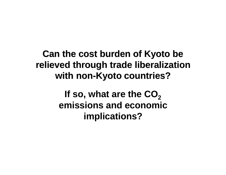### **Can the cost burden of Kyoto be relieved through trade liberalization with non-Kyoto countries?**

If so, what are the CO<sub>2</sub> **emissions and economic implications?**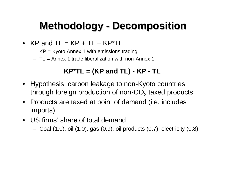## **Methodology - Decomposition**

- $KP$  and  $TL = KP + TL + KP*TL$ 
	- KP = Kyoto Annex 1 with emissions trading
	- TL = Annex 1 trade liberalization with non-Annex 1

### **KP\*TL = (KP and TL) - KP - TL**

- Hypothesis: carbon leakage to non-Kyoto countries through foreign production of non-CO<sub>2</sub> taxed products
- Products are taxed at point of demand (i.e. includes imports)
- US firms' share of total demand
	- Coal (1.0), oil (1.0), gas (0.9), oil products (0.7), electricity (0.8)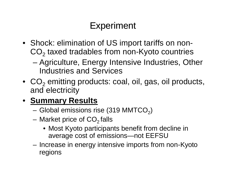## Experiment

- Shock: elimination of US import tariffs on non- $CO<sub>2</sub>$  taxed tradables from non-Kyoto countries
	- Agriculture, Energy Intensive Industries, Other Industries and Services
- $CO<sub>2</sub>$  emitting products: coal, oil, gas, oil products, and electricity

### • **Summary Results**

- Global emissions rise (319 MMTCO $_2)$
- Market price of  $CO<sub>2</sub>$  falls
	- Most Kyoto participants benefit from decline in average cost of emissions—not EEFSU
- Increase in energy intensive imports from non-Kyoto regions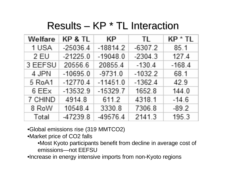## Results – KP \* TL Interaction

| Welfare | KP & TL    | KР         | TL.       | KP * TL  |
|---------|------------|------------|-----------|----------|
| 1 USA   | $-25036.4$ | $-18814.2$ | $-6307.2$ | 85.1     |
| 2 EU    | $-21225.0$ | $-19048.0$ | $-2304.3$ | 127.4    |
| 3 EEFSU | 20556.6    | 20855.4    | $-130.4$  | $-168.4$ |
| 4 JPN   | $-10695.0$ | $-9731.0$  | $-1032.2$ | 68.1     |
| 5 RoA1  | $-12770.4$ | $-11451.0$ | $-1362.4$ | 42.9     |
| 6 EEx   | $-13532.9$ | $-15329.7$ | 1652.8    | 144.0    |
| 7 CHIND | 4914.8     | 611.2      | 4318.1    | $-14.6$  |
| 8 RoW   | 10548.4    | 3330.8     | 7306.8    | $-89.2$  |
| Total   | -47239.8   | -49576.4   | 2141.3    | 195.3    |

•Global emissions rise (319 MMTCO2)

•Market price of CO2 falls

•Most Kyoto participants benefit from decline in average cost of emissions—not EEFSU

•Increase in energy intensive imports from non-Kyoto regions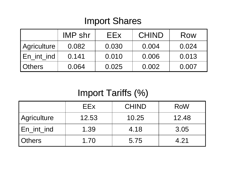### Import Shares

|               | <b>IMP shr</b> | EEx   | <b>CHIND</b> | Row   |
|---------------|----------------|-------|--------------|-------|
| Agriculture   | 0.082          | 0.030 | 0.004        | 0.024 |
| En_int_ind    | 0.141          | 0.010 | 0.006        | 0.013 |
| <b>Others</b> | 0.064          | 0.025 | 0.002        | 0.007 |

## Import Tariffs (%)

|               | EEx.  | <b>CHIND</b> | <b>RoW</b> |
|---------------|-------|--------------|------------|
| Agriculture   | 12.53 | 10.25        | 12.48      |
| En_int_ind    | 1.39  | 4.18         | 3.05       |
| <b>Others</b> | 1.70  | 5.75         | 4.21       |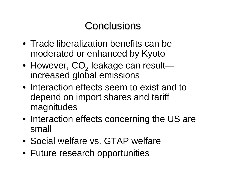## **Conclusions**

- Trade liberalization benefits can be moderated or enhanced by Kyoto
- However,  $CO_{2}$  leakage can result increased global emissions
- Interaction effects seem to exist and to depend on import shares and tariff magnitudes
- Interaction effects concerning the US are small
- Social welfare vs. GTAP welfare
- Future research opportunities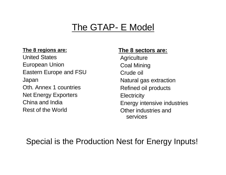### The GTAP- E Model

#### **The 8 regions are:**

United States European Union Eastern Europe and FSU Japan Oth. Annex 1 countries Net Energy Exporters China and India Rest of the World

#### **The 8 sectors are:**

**Agriculture** Coal Mining Crude oil Natural gas extraction Refined oil products **Electricity** Energy intensive industries Other industries and services

### Special is the Production Nest for Energy Inputs!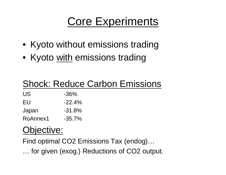## Core Experiments

- Kyoto without emissions trading
- Kyoto with emissions trading

### Shock: Reduce Carbon Emissions

 $\mathsf{US}$   $-36\%$ 

 $EU$   $-22.4%$ 

Japan -31.8%

RoAnnex1 -35.7%

## Objective:

Find optimal CO2 Emissions Tax (endog)… … for given (exog.) Reductions of CO2 output.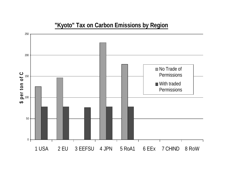#### **"Kyoto" Tax on Carbon Emissions by Region**

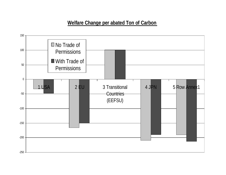#### **Welfare Change per abated Ton of Carbon**

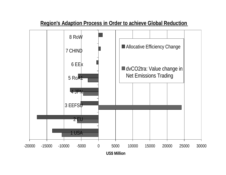#### **Region's Adaption Process in Order to achieve Global Reduction**

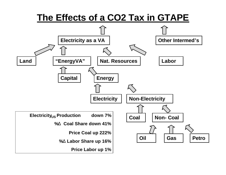### **The Effects of a CO2 Tax in GTAPE**

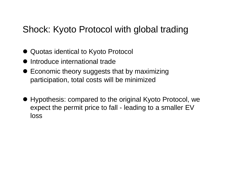### Shock: Kyoto Protocol with global trading

- Quotas identical to Kyoto Protocol
- Introduce international trade
- $\bullet$  Economic theory suggests that by maximizing participation, total costs will be minimized
- l Hypothesis: compared to the original Kyoto Protocol, we expect the permit price to fall - leading to a smaller EV loss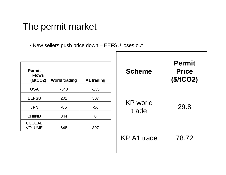### The permit market

• New sellers push price down – EEFSU loses out

| <b>Permit</b><br><b>Flows</b><br>(MtCO2)<br><b>USA</b> | <b>World trading</b><br>$-343$ | A1 trading<br>$-135$ | <b>Scheme</b>            | <b>Permit</b><br><b>Price</b><br>(\$/tCO2) |
|--------------------------------------------------------|--------------------------------|----------------------|--------------------------|--------------------------------------------|
|                                                        |                                |                      |                          |                                            |
| <b>EEFSU</b>                                           | 201                            | 307                  |                          |                                            |
| <b>JPN</b>                                             | $-86$                          | $-56$                | <b>KP</b> world<br>trade | 29.8                                       |
| <b>CHIIND</b>                                          | 344                            | $\overline{0}$       |                          |                                            |
| <b>GLOBAL</b><br><b>VOLUME</b>                         | 648                            | 307                  |                          |                                            |

KP A1 trade  $\vert$  78.72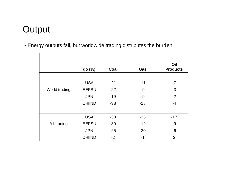## **Output**

• Energy outputs fall, but worldwide trading distributes the burden

|               | $qo$ $(\%)$   | Coal  | Gas   | Oil<br><b>Products</b> |
|---------------|---------------|-------|-------|------------------------|
|               |               |       |       |                        |
|               | <b>USA</b>    | $-21$ | $-11$ | $-7$                   |
| World trading | <b>EEFSU</b>  | $-22$ | $-9$  | $-3$                   |
|               | <b>JPN</b>    | $-19$ | $-9$  | $-2$                   |
|               | <b>CHIIND</b> | $-38$ | $-18$ | $-4$                   |
|               |               |       |       |                        |
|               | <b>USA</b>    | $-38$ | $-25$ | $-17$                  |
| A1 trading    | <b>EEFSU</b>  | $-39$ | $-19$ | $-9$                   |
|               | <b>JPN</b>    | $-25$ | $-20$ | $-6$                   |
|               | <b>CHIIND</b> | $-2$  | $-1$  | $\overline{2}$         |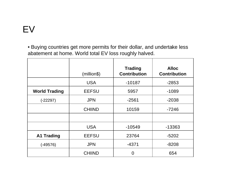• Buying countries get more permits for their dollar, and undertake less abatement at home. World total EV loss roughly halved.

|                      | (million\$)   | <b>Trading</b><br><b>Contribution</b> | <b>Alloc</b><br><b>Contribution</b> |
|----------------------|---------------|---------------------------------------|-------------------------------------|
|                      | <b>USA</b>    | $-10187$                              | $-2853$                             |
| <b>World Trading</b> | <b>EEFSU</b>  | 5957                                  | $-1089$                             |
| $(-22297)$           | <b>JPN</b>    | $-2561$                               | $-2038$                             |
|                      | <b>CHIIND</b> | 10159                                 | $-7246$                             |
|                      |               |                                       |                                     |
|                      | <b>USA</b>    | $-10549$                              | -13363                              |
| <b>A1 Trading</b>    | <b>EEFSU</b>  | 23764                                 | $-5202$                             |
| $(-49576)$           | <b>JPN</b>    | -4371                                 | $-8208$                             |
|                      | <b>CHIIND</b> | 0                                     | 654                                 |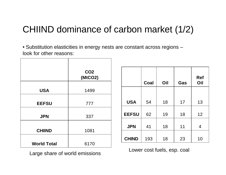## CHIIND dominance of carbon market (1/2)

• Substitution elasticities in energy nests are constant across regions – look for other reasons:

|                    | CO <sub>2</sub><br>(MtCO2) |              |      |                                                                                                                 |     | <b>Ref</b>     |
|--------------------|----------------------------|--------------|------|-----------------------------------------------------------------------------------------------------------------|-----|----------------|
|                    |                            |              | Coal | Oil                                                                                                             | Gas | Oil            |
| <b>USA</b>         | 1499                       |              |      |                                                                                                                 |     |                |
| <b>EEFSU</b>       | 777                        | <b>USA</b>   | 54   | 18                                                                                                              | 17  | 13             |
| <b>JPN</b>         | 337                        | <b>EEFSU</b> | 62   | 19                                                                                                              | 18  | 12             |
| <b>CHIIND</b>      |                            | <b>JPN</b>   | 41   | 18                                                                                                              | 11  | $\overline{4}$ |
|                    | 1081                       |              |      |                                                                                                                 |     |                |
|                    |                            | <b>CHIND</b> | 193  | 18                                                                                                              | 23  | 10             |
| <b>World Total</b> | 6170                       |              |      | the contract of the contract of the contract of the contract of the contract of the contract of the contract of |     |                |

Large share of world emissions Lower cost fuels, esp. coal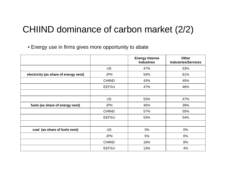### CHIIND dominance of carbon market (2/2)

• Energy use in firms gives more opportunity to abate

|                                       |               | <b>Energy Intense</b><br><b>Industries</b> | <b>Other</b><br><b>Industries/Services</b> |
|---------------------------------------|---------------|--------------------------------------------|--------------------------------------------|
|                                       | <b>US</b>     | 47%                                        | 53%                                        |
| electricity (as share of energy nest) | <b>JPN</b>    | 54%                                        | 61%                                        |
|                                       | <b>CHIIND</b> | 43%                                        | 45%                                        |
|                                       | <b>EEFSU</b>  | 47%                                        | 46%                                        |
|                                       |               |                                            |                                            |
|                                       | <b>US</b>     | 53%                                        | 47%                                        |
| fuels (as share of energy nest)       | <b>JPN</b>    | 46%                                        | 39%                                        |
|                                       | <b>CHIIND</b> | 57%                                        | 55%                                        |
|                                       | <b>EEFSU</b>  | 53%                                        | 54%                                        |
|                                       |               |                                            |                                            |
| coal (as share of fuels nest)         | <b>US</b>     | 3%                                         | 0%                                         |
|                                       | <b>JPN</b>    | 5%                                         | $0\%$                                      |
|                                       | <b>CHIIND</b> | 16%                                        | 8%                                         |
|                                       | <b>EEFSU</b>  | 13%                                        | 4%                                         |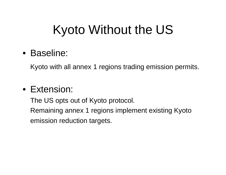# Kyoto Without the US

• Baseline:

Kyoto with all annex 1 regions trading emission permits.

### • Extension:

The US opts out of Kyoto protocol. Remaining annex 1 regions implement existing Kyoto emission reduction targets.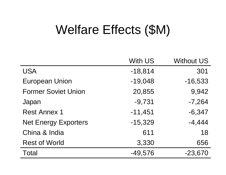# Welfare Effects (\$M)

|                             | <b>With US</b> | <b>Without US</b> |
|-----------------------------|----------------|-------------------|
| <b>USA</b>                  | $-18,814$      | 301               |
| <b>European Union</b>       | $-19,048$      | $-16,533$         |
| <b>Former Soviet Union</b>  | 20,855         | 9,942             |
| Japan                       | $-9,731$       | $-7,264$          |
| <b>Rest Annex 1</b>         | $-11,451$      | $-6,347$          |
| <b>Net Energy Exporters</b> | $-15,329$      | $-4,444$          |
| China & India               | 611            | 18                |
| <b>Rest of World</b>        | 3,330          | 656               |
| <b>Total</b>                | $-49,576$      | $-23,670$         |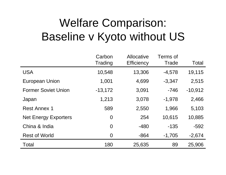# Welfare Comparison: Baseline v Kyoto without US

|                             | Carbon<br>Trading | Allocative<br><b>Efficiency</b> | Terms of<br>Trade | Total     |
|-----------------------------|-------------------|---------------------------------|-------------------|-----------|
| <b>USA</b>                  | 10,548            | 13,306                          | $-4,578$          | 19,115    |
| <b>European Union</b>       | 1,001             | 4,699                           | $-3,347$          | 2,515     |
| <b>Former Soviet Union</b>  | $-13,172$         | 3,091                           | $-746$            | $-10,912$ |
| Japan                       | 1,213             | 3,078                           | $-1,978$          | 2,466     |
| <b>Rest Annex 1</b>         | 589               | 2,550                           | 1,966             | 5,103     |
| <b>Net Energy Exporters</b> | $\overline{0}$    | 254                             | 10,615            | 10,885    |
| China & India               | $\overline{0}$    | $-480$                          | $-135$            | $-592$    |
| <b>Rest of World</b>        | $\overline{0}$    | $-864$                          | $-1,705$          | $-2,674$  |
| Total                       | 180               | 25,635                          | 89                | 25,906    |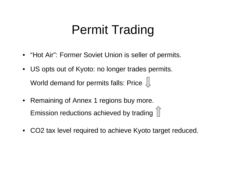# Permit Trading

- "Hot Air": Former Soviet Union is seller of permits.
- US opts out of Kyoto: no longer trades permits. World demand for permits falls: Price  $\downarrow$
- Remaining of Annex 1 regions buy more. Emission reductions achieved by trading  $\hat{a}$
- CO2 tax level required to achieve Kyoto target reduced.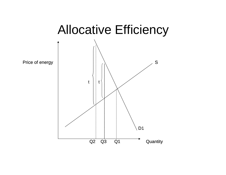